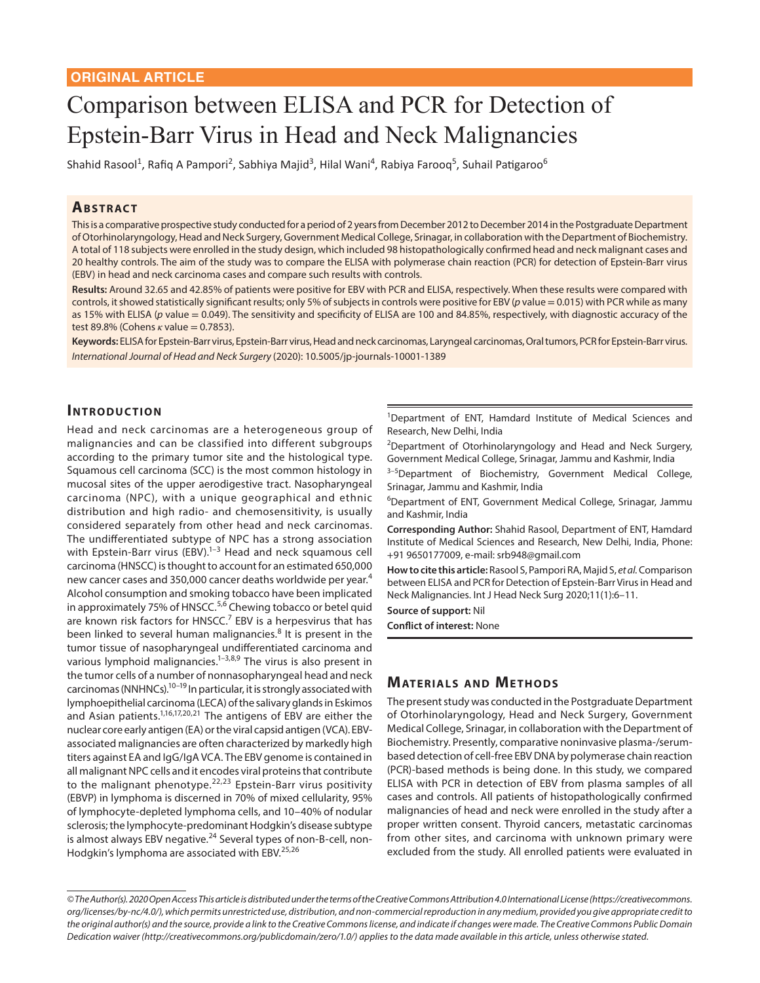# Comparison between ELISA and PCR for Detection of Epstein-Barr Virus in Head and Neck Malignancies

Shahid Rasool<sup>1</sup>, Rafiq A Pampori<sup>2</sup>, Sabhiya Majid<sup>3</sup>, Hilal Wani<sup>4</sup>, Rabiya Farooq<sup>5</sup>, Suhail Patigaroo<sup>6</sup>

#### **ABSTRACT**

This is a comparative prospective study conducted for a period of 2 years from December 2012 to December 2014 in the Postgraduate Department of Otorhinolaryngology, Head and Neck Surgery, Government Medical College, Srinagar, in collaboration with the Department of Biochemistry. A total of 118 subjects were enrolled in the study design, which included 98 histopathologically confirmed head and neck malignant cases and 20 healthy controls. The aim of the study was to compare the ELISA with polymerase chain reaction (PCR) for detection of Epstein-Barr virus (EBV) in head and neck carcinoma cases and compare such results with controls.

**Results:** Around 32.65 and 42.85% of patients were positive for EBV with PCR and ELISA, respectively. When these results were compared with controls, it showed statistically significant results; only 5% of subjects in controls were positive for EBV (*p* value = 0.015) with PCR while as many as 15% with ELISA (*p* value = 0.049). The sensitivity and specificity of ELISA are 100 and 84.85%, respectively, with diagnostic accuracy of the test 89.8% (Cohens *κ* value = 0.7853).

**Keywords:** ELISA for Epstein-Barr virus, Epstein-Barr virus, Head and neck carcinomas, Laryngeal carcinomas, Oral tumors, PCR for Epstein-Barr virus. *International Journal of Head and Neck Surgery* (2020): 10.5005/jp-journals-10001-1389

### **INTRODUCTION**

Head and neck carcinomas are a heterogeneous group of malignancies and can be classified into different subgroups according to the primary tumor site and the histological type. Squamous cell carcinoma (SCC) is the most common histology in mucosal sites of the upper aerodigestive tract. Nasopharyngeal carcinoma (NPC), with a unique geographical and ethnic distribution and high radio- and chemosensitivity, is usually considered separately from other head and neck carcinomas. The undifferentiated subtype of NPC has a strong association with Epstein-Barr virus (EBV).<sup>1-3</sup> Head and neck squamous cell carcinoma (HNSCC) is thought to account for an estimated 650,000 new cancer cases and 350,000 cancer deaths worldwide per year.<sup>4</sup> Alcohol consumption and smoking tobacco have been implicated in approximately 75% of HNSCC.<sup>5,6</sup> Chewing tobacco or betel quid are known risk factors for HNSCC.<sup>7</sup> EBV is a herpesvirus that has been linked to several human malignancies.<sup>8</sup> It is present in the tumor tissue of nasopharyngeal undifferentiated carcinoma and various lymphoid malignancies.<sup>1-3,8,9</sup> The virus is also present in the tumor cells of a number of nonnasopharyngeal head and neck carcinomas (NNHNCs).10–19 In particular, it is strongly associated with lymphoepithelial carcinoma (LECA) of the salivary glands in Eskimos and Asian patients.<sup>1,16,17,20,21</sup> The antigens of EBV are either the nuclear core early antigen (EA) or the viral capsid antigen (VCA). EBVassociated malignancies are often characterized by markedly high titers against EA and IgG/IgA VCA. The EBV genome is contained in all malignant NPC cells and it encodes viral proteins that contribute to the malignant phenotype. $22,23$  Epstein-Barr virus positivity (EBVP) in lymphoma is discerned in 70% of mixed cellularity, 95% of lymphocyte-depleted lymphoma cells, and 10–40% of nodular sclerosis; the lymphocyte-predominant Hodgkin's disease subtype is almost always EBV negative.<sup>24</sup> Several types of non-B-cell, non-Hodgkin's lymphoma are associated with EBV.<sup>25,26</sup>

<sup>1</sup>Department of ENT, Hamdard Institute of Medical Sciences and Research, New Delhi, India

<sup>2</sup>Department of Otorhinolaryngology and Head and Neck Surgery, Government Medical College, Srinagar, Jammu and Kashmir, India

 $3-5$ Department of Biochemistry, Government Medical College, Srinagar, Jammu and Kashmir, India

6 Department of ENT, Government Medical College, Srinagar, Jammu and Kashmir, India

**Corresponding Author:** Shahid Rasool, Department of ENT, Hamdard Institute of Medical Sciences and Research, New Delhi, India, Phone: +91 9650177009, e-mail: srb948@gmail.com

**How to cite this article:** Rasool S, Pampori RA, Majid S, *et al.* Comparison between ELISA and PCR for Detection of Epstein-Barr Virus in Head and Neck Malignancies. Int J Head Neck Surg 2020;11(1):6–11.

**Source of support:** Nil

**Conflict of interest:** None

## **MATERIALS AND METHODS**

The present study was conducted in the Postgraduate Department of Otorhinolaryngology, Head and Neck Surgery, Government Medical College, Srinagar, in collaboration with the Department of Biochemistry. Presently, comparative noninvasive plasma-/serumbased detection of cell-free EBV DNA by polymerase chain reaction (PCR)-based methods is being done. In this study, we compared ELISA with PCR in detection of EBV from plasma samples of all cases and controls. All patients of histopathologically confirmed malignancies of head and neck were enrolled in the study after a proper written consent. Thyroid cancers, metastatic carcinomas from other sites, and carcinoma with unknown primary were excluded from the study. All enrolled patients were evaluated in

*<sup>©</sup> The Author(s). 2020 Open Access This article is distributed under the terms of the Creative Commons Attribution 4.0 International License (https://creativecommons. org/licenses/by-nc/4.0/), which permits unrestricted use, distribution, and non-commercial reproduction in any medium, provided you give appropriate credit to the original author(s) and the source, provide a link to the Creative Commons license, and indicate if changes were made. The Creative Commons Public Domain Dedication waiver (http://creativecommons.org/publicdomain/zero/1.0/) applies to the data made available in this article, unless otherwise stated.*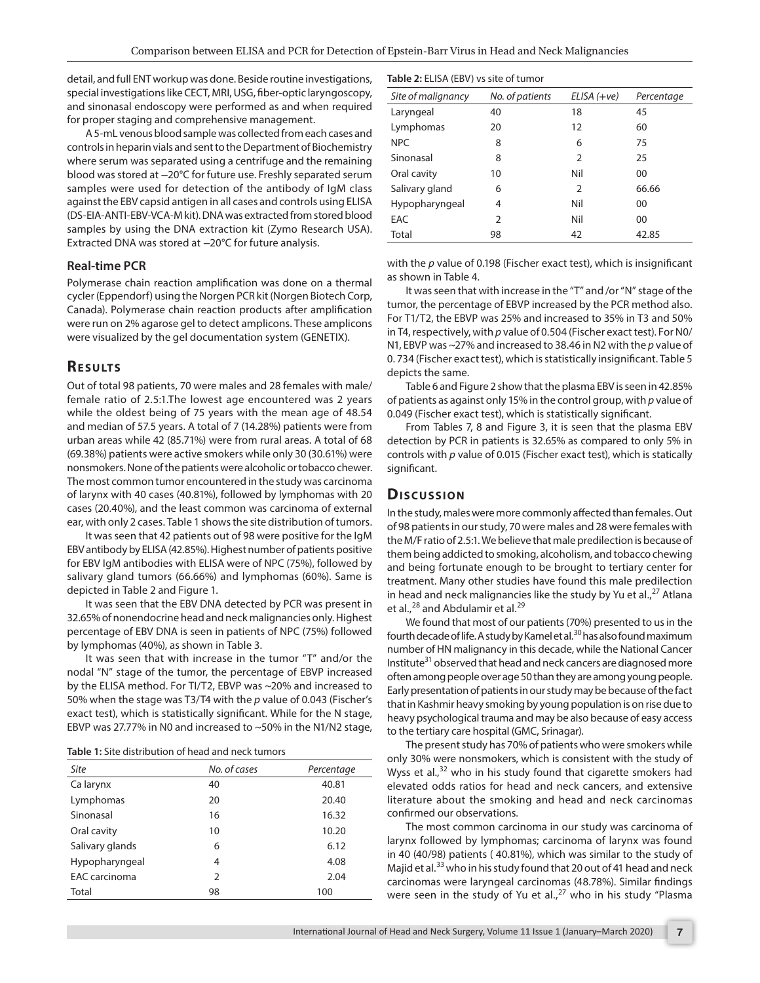detail, and full ENT workup was done. Beside routine investigations, special investigations like CECT, MRI, USG, fiber-optic laryngoscopy, and sinonasal endoscopy were performed as and when required for proper staging and comprehensive management.

A 5-mL venous blood sample was collected from each cases and controls in heparin vials and sent to the Department of Biochemistry where serum was separated using a centrifuge and the remaining blood was stored at −20°C for future use. Freshly separated serum samples were used for detection of the antibody of IgM class against the EBV capsid antigen in all cases and controls using ELISA (DS-EIA-ANTI-EBV-VCA-M kit). DNA was extracted from stored blood samples by using the DNA extraction kit (Zymo Research USA). Extracted DNA was stored at −20°C for future analysis.

#### **Real-time PCR**

Polymerase chain reaction amplification was done on a thermal cycler (Eppendorf) using the Norgen PCR kit (Norgen Biotech Corp, Canada). Polymerase chain reaction products after amplification were run on 2% agarose gel to detect amplicons. These amplicons were visualized by the gel documentation system (GENETIX).

#### **RESULTS**

Out of total 98 patients, 70 were males and 28 females with male/ female ratio of 2.5:1.The lowest age encountered was 2 years while the oldest being of 75 years with the mean age of 48.54 and median of 57.5 years. A total of 7 (14.28%) patients were from urban areas while 42 (85.71%) were from rural areas. A total of 68 (69.38%) patients were active smokers while only 30 (30.61%) were nonsmokers. None of the patients were alcoholic or tobacco chewer. The most common tumor encountered in the study was carcinoma of larynx with 40 cases (40.81%), followed by lymphomas with 20 cases (20.40%), and the least common was carcinoma of external ear, with only 2 cases. Table 1 shows the site distribution of tumors.

It was seen that 42 patients out of 98 were positive for the IgM EBV antibody by ELISA (42.85%). Highest number of patients positive for EBV IgM antibodies with ELISA were of NPC (75%), followed by salivary gland tumors (66.66%) and lymphomas (60%). Same is depicted in Table 2 and Figure 1.

It was seen that the EBV DNA detected by PCR was present in 32.65% of nonendocrine head and neck malignancies only. Highest percentage of EBV DNA is seen in patients of NPC (75%) followed by lymphomas (40%), as shown in Table 3.

It was seen that with increase in the tumor "T" and/or the nodal "N" stage of the tumor, the percentage of EBVP increased by the ELISA method. For TI/T2, EBVP was ~20% and increased to 50% when the stage was T3/T4 with the *p* value of 0.043 (Fischer's exact test), which is statistically significant. While for the N stage, EBVP was 27.77% in N0 and increased to ~50% in the N1/N2 stage,

| <b>Table 1:</b> Site distribution of head and neck tumors |
|-----------------------------------------------------------|
|-----------------------------------------------------------|

| Site            | No. of cases   | Percentage |
|-----------------|----------------|------------|
| Ca larynx       | 40             | 40.81      |
| Lymphomas       | 20             | 20.40      |
| Sinonasal       | 16             | 16.32      |
| Oral cavity     | 10             | 10.20      |
| Salivary glands | 6              | 6.12       |
| Hypopharyngeal  | 4              | 4.08       |
| EAC carcinoma   | $\overline{2}$ | 2.04       |
| Total           | 98             | 100        |

| Table 2: ELISA (EBV) vs site of tumor |
|---------------------------------------|
|---------------------------------------|

| Site of malignancy | No. of patients | $ELISA (+ve)$ | Percentage |
|--------------------|-----------------|---------------|------------|
| Laryngeal          | 40              | 18            | 45         |
| Lymphomas          | 20              | 12            | 60         |
| NPC                | 8               | 6             | 75         |
| Sinonasal          | 8               | 2             | 25         |
| Oral cavity        | 10              | Nil           | 00         |
| Salivary gland     | 6               | 2             | 66.66      |
| Hypopharyngeal     | 4               | Nil           | 00         |
| EAC                | $\mathcal{P}$   | Nil           | 00         |
| Total              | 98              | 42            | 42.85      |

with the *p* value of 0.198 (Fischer exact test), which is insignificant as shown in Table 4.

It was seen that with increase in the "T" and /or "N" stage of the tumor, the percentage of EBVP increased by the PCR method also. For T1/T2, the EBVP was 25% and increased to 35% in T3 and 50% in T4, respectively, with *p* value of 0.504 (Fischer exact test). For N0/ N1, EBVP was ~27% and increased to 38.46 in N2 with the *p* value of 0. 734 (Fischer exact test), which is statistically insignificant. Table 5 depicts the same.

Table 6 and Figure 2 show that the plasma EBV is seen in 42.85% of patients as against only 15% in the control group, with *p* value of 0.049 (Fischer exact test), which is statistically significant.

From Tables 7, 8 and Figure 3, it is seen that the plasma EBV detection by PCR in patients is 32.65% as compared to only 5% in controls with *p* value of 0.015 (Fischer exact test), which is statically significant.

#### **Discussion**

In the study, males were more commonly affected than females. Out of 98 patients in our study, 70 were males and 28 were females with the M/F ratio of 2.5:1. We believe that male predilection is because of them being addicted to smoking, alcoholism, and tobacco chewing and being fortunate enough to be brought to tertiary center for treatment. Many other studies have found this male predilection in head and neck malignancies like the study by Yu et al.,<sup>27</sup> Atlana et al.,<sup>28</sup> and Abdulamir et al.<sup>29</sup>

We found that most of our patients (70%) presented to us in the fourth decade of life. A study by Kamel et al.<sup>30</sup> has also found maximum number of HN malignancy in this decade, while the National Cancer Institute<sup>31</sup> observed that head and neck cancers are diagnosed more often among people over age 50 than they are among young people. Early presentation of patients in our study may be because of the fact that in Kashmir heavy smoking by young population is on rise due to heavy psychological trauma and may be also because of easy access to the tertiary care hospital (GMC, Srinagar).

The present study has 70% of patients who were smokers while only 30% were nonsmokers, which is consistent with the study of Wyss et al.,<sup>32</sup> who in his study found that cigarette smokers had elevated odds ratios for head and neck cancers, and extensive literature about the smoking and head and neck carcinomas confirmed our observations.

The most common carcinoma in our study was carcinoma of larynx followed by lymphomas; carcinoma of larynx was found in 40 (40/98) patients ( 40.81%), which was similar to the study of Majid et al.<sup>33</sup> who in his study found that 20 out of 41 head and neck carcinomas were laryngeal carcinomas (48.78%). Similar findings were seen in the study of Yu et al., $^{27}$  who in his study "Plasma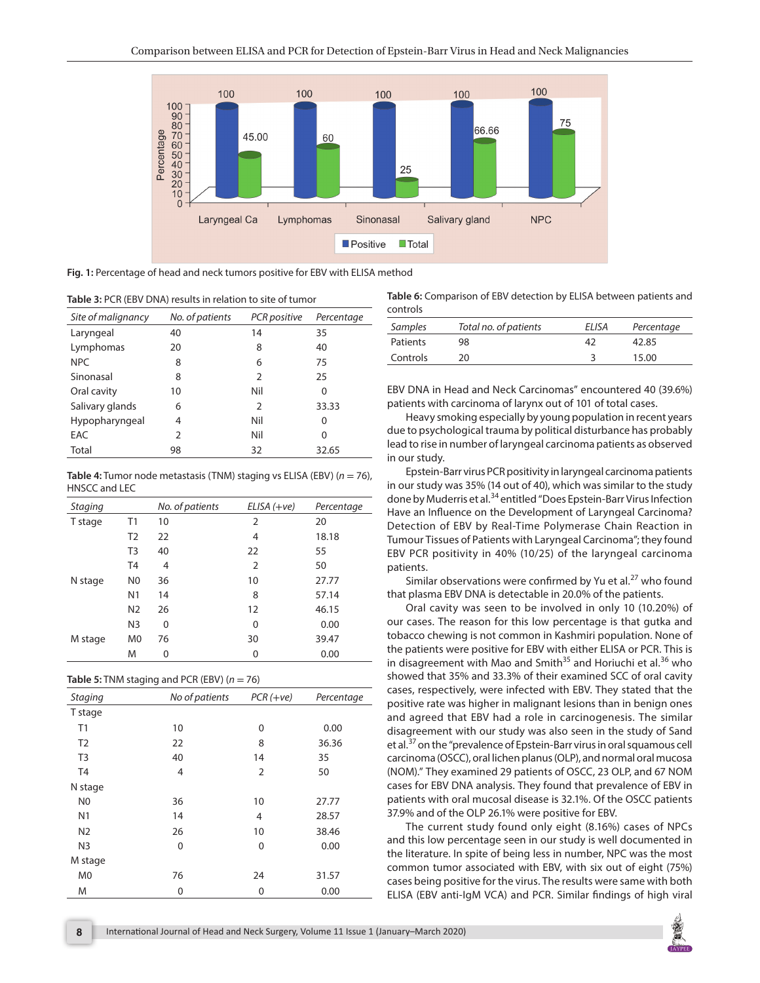

**Fig. 1:** Percentage of head and neck tumors positive for EBV with ELISA method

|  |  |  |  | Table 3: PCR (EBV DNA) results in relation to site of tumor |
|--|--|--|--|-------------------------------------------------------------|
|--|--|--|--|-------------------------------------------------------------|

| Site of malignancy | No. of patients | PCR positive  | Percentage |
|--------------------|-----------------|---------------|------------|
| Laryngeal          | 40              | 14            | 35         |
| Lymphomas          | 20              | 8             | 40         |
| <b>NPC</b>         | 8               | 6             | 75         |
| Sinonasal          | 8               | $\mathcal{P}$ | 25         |
| Oral cavity        | 10              | Nil           | 0          |
| Salivary glands    | 6               | 2             | 33.33      |
| Hypopharyngeal     | 4               | Nil           | 0          |
| EAC                | C               | Nil           | 0          |
| Total              | 98              | 32            | 32.65      |

**Table 4:** Tumor node metastasis (TNM) staging vs ELISA (EBV) (*n* = 76), HNSCC and LEC

| <b>Staging</b> |                | No. of patients | $ELISA (+ve)$  | Percentage |
|----------------|----------------|-----------------|----------------|------------|
| T stage        | T1             | 10              | 2              | 20         |
|                | T <sub>2</sub> | 22              | 4              | 18.18      |
|                | T <sub>3</sub> | 40              | 22             | 55         |
|                | T <sub>4</sub> | $\overline{4}$  | $\overline{2}$ | 50         |
| N stage        | N <sub>0</sub> | 36              | 10             | 27.77      |
|                | N <sub>1</sub> | 14              | 8              | 57.14      |
|                | N <sub>2</sub> | 26              | 12             | 46.15      |
|                | N <sub>3</sub> | 0               | 0              | 0.00       |
| M stage        | M <sub>0</sub> | 76              | 30             | 39.47      |
|                | M              | 0               | 0              | 0.00       |

| <b>Table 5:</b> TNM staging and PCR (EBV) ( $n = 76$ ) |  |  |  |
|--------------------------------------------------------|--|--|--|
|--------------------------------------------------------|--|--|--|

| <b>Staging</b> | No of patients | $PCR (+ve)$ | Percentage |
|----------------|----------------|-------------|------------|
| T stage        |                |             |            |
| T1             | 10             | 0           | 0.00       |
| T <sub>2</sub> | 22             | 8           | 36.36      |
| T <sub>3</sub> | 40             | 14          | 35         |
| T <sub>4</sub> | 4              | 2           | 50         |
| N stage        |                |             |            |
| N <sub>0</sub> | 36             | 10          | 27.77      |
| N <sub>1</sub> | 14             | 4           | 28.57      |
| N <sub>2</sub> | 26             | 10          | 38.46      |
| N <sub>3</sub> | 0              | 0           | 0.00       |
| M stage        |                |             |            |
| M <sub>0</sub> | 76             | 24          | 31.57      |
| M              | 0              | 0           | 0.00       |

**Table 6:** Comparison of EBV detection by ELISA between patients and controls

| Samples  | Total no. of patients | ELISA | Percentage |
|----------|-----------------------|-------|------------|
| Patients | 98                    | 47    | 42.85      |
| Controls | 20                    |       | 15.00      |

EBV DNA in Head and Neck Carcinomas" encountered 40 (39.6%) patients with carcinoma of larynx out of 101 of total cases.

Heavy smoking especially by young population in recent years due to psychological trauma by political disturbance has probably lead to rise in number of laryngeal carcinoma patients as observed in our study.

Epstein-Barr virus PCR positivity in laryngeal carcinoma patients in our study was 35% (14 out of 40), which was similar to the study done by Muderris et al.<sup>34</sup> entitled "Does Epstein-Barr Virus Infection Have an Influence on the Development of Laryngeal Carcinoma? Detection of EBV by Real-Time Polymerase Chain Reaction in Tumour Tissues of Patients with Laryngeal Carcinoma"; they found EBV PCR positivity in 40% (10/25) of the laryngeal carcinoma patients.

Similar observations were confirmed by Yu et al. $27$  who found that plasma EBV DNA is detectable in 20.0% of the patients.

Oral cavity was seen to be involved in only 10 (10.20%) of our cases. The reason for this low percentage is that gutka and tobacco chewing is not common in Kashmiri population. None of the patients were positive for EBV with either ELISA or PCR. This is in disagreement with Mao and Smith $35$  and Horiuchi et al.<sup>36</sup> who showed that 35% and 33.3% of their examined SCC of oral cavity cases, respectively, were infected with EBV. They stated that the positive rate was higher in malignant lesions than in benign ones and agreed that EBV had a role in carcinogenesis. The similar disagreement with our study was also seen in the study of Sand et al.<sup>37</sup> on the "prevalence of Epstein-Barr virus in oral squamous cell carcinoma (OSCC), oral lichen planus (OLP), and normal oral mucosa (NOM)." They examined 29 patients of OSCC, 23 OLP, and 67 NOM cases for EBV DNA analysis. They found that prevalence of EBV in patients with oral mucosal disease is 32.1%. Of the OSCC patients 37.9% and of the OLP 26.1% were positive for EBV.

The current study found only eight (8.16%) cases of NPCs and this low percentage seen in our study is well documented in the literature. In spite of being less in number, NPC was the most common tumor associated with EBV, with six out of eight (75%) cases being positive for the virus. The results were same with both ELISA (EBV anti-IgM VCA) and PCR. Similar findings of high viral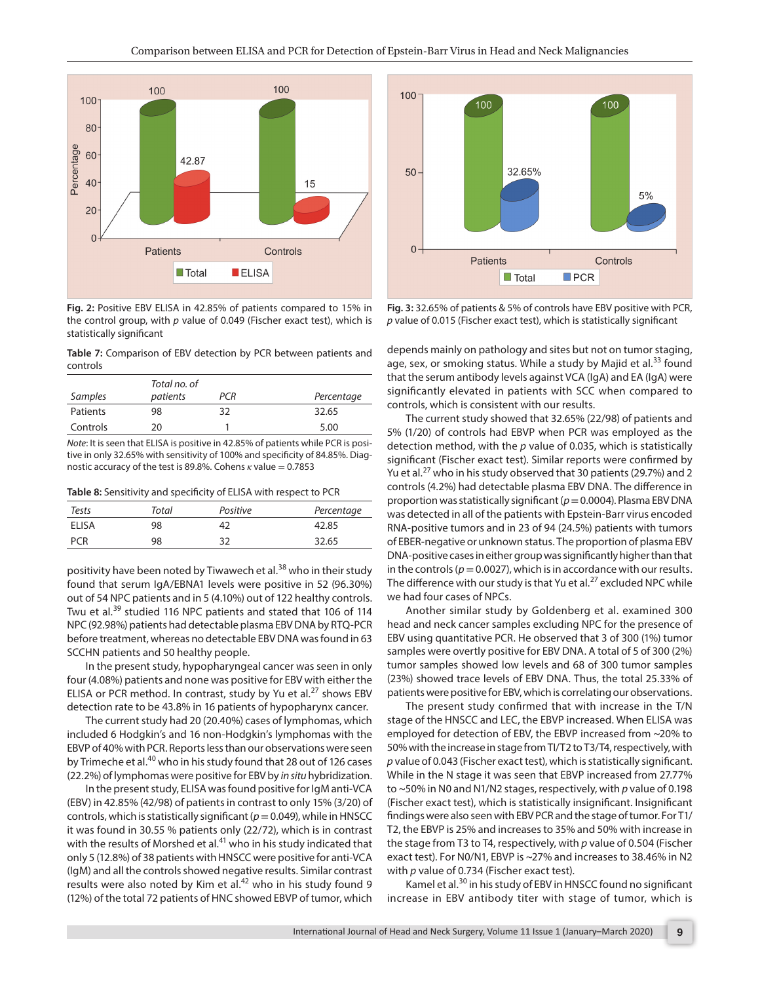

**Fig. 2:** Positive EBV ELISA in 42.85% of patients compared to 15% in the control group, with *p* value of 0.049 (Fischer exact test), which is statistically significant

**Table 7:** Comparison of EBV detection by PCR between patients and controls

|          | Total no. of |     |            |
|----------|--------------|-----|------------|
| Samples  | patients     | PCR | Percentage |
| Patients | 98           | 32  | 32.65      |
| Controls | 20           |     | 5.00       |

*Note*: It is seen that ELISA is positive in 42.85% of patients while PCR is positive in only 32.65% with sensitivity of 100% and specificity of 84.85%. Diagnostic accuracy of the test is 89.8%. Cohens *κ* value = 0.7853

**Table 8:** Sensitivity and specificity of ELISA with respect to PCR

| Tests      | Total | Positive | Percentage |
|------------|-------|----------|------------|
| ELISA      | 98    |          | 42.85      |
| <b>PCR</b> | 98    | 32       | 32.65      |

positivity have been noted by Tiwawech et al.<sup>38</sup> who in their study found that serum IgA/EBNA1 levels were positive in 52 (96.30%) out of 54 NPC patients and in 5 (4.10%) out of 122 healthy controls. Twu et al.<sup>39</sup> studied 116 NPC patients and stated that 106 of 114 NPC (92.98%) patients had detectable plasma EBV DNA by RTQ-PCR before treatment, whereas no detectable EBV DNA was found in 63 SCCHN patients and 50 healthy people.

In the present study, hypopharyngeal cancer was seen in only four (4.08%) patients and none was positive for EBV with either the ELISA or PCR method. In contrast, study by Yu et al.<sup>27</sup> shows EBV detection rate to be 43.8% in 16 patients of hypopharynx cancer.

The current study had 20 (20.40%) cases of lymphomas, which included 6 Hodgkin's and 16 non-Hodgkin's lymphomas with the EBVP of 40% with PCR. Reports less than our observations were seen by Trimeche et al.<sup>40</sup> who in his study found that 28 out of 126 cases (22.2%) of lymphomas were positive for EBV by *in situ* hybridization.

In the present study, ELISA was found positive for IgM anti-VCA (EBV) in 42.85% (42/98) of patients in contrast to only 15% (3/20) of controls, which is statistically significant (*p*= 0.049), while in HNSCC it was found in 30.55 % patients only (22/72), which is in contrast with the results of Morshed et al.<sup>41</sup> who in his study indicated that only 5 (12.8%) of 38 patients with HNSCC were positive for anti-VCA (IgM) and all the controls showed negative results. Similar contrast results were also noted by Kim et al.<sup>42</sup> who in his study found 9 (12%) of the total 72 patients of HNC showed EBVP of tumor, which



**Fig. 3:** 32.65% of patients & 5% of controls have EBV positive with PCR, *p* value of 0.015 (Fischer exact test), which is statistically significant

depends mainly on pathology and sites but not on tumor staging, age, sex, or smoking status. While a study by Majid et al. $33$  found that the serum antibody levels against VCA (IgA) and EA (IgA) were significantly elevated in patients with SCC when compared to controls, which is consistent with our results.

The current study showed that 32.65% (22/98) of patients and 5% (1/20) of controls had EBVP when PCR was employed as the detection method, with the *p* value of 0.035, which is statistically significant (Fischer exact test). Similar reports were confirmed by Yu et al.<sup>27</sup> who in his study observed that 30 patients (29.7%) and 2 controls (4.2%) had detectable plasma EBV DNA. The difference in proportion was statistically significant (*p*= 0.0004). Plasma EBV DNA was detected in all of the patients with Epstein-Barr virus encoded RNA-positive tumors and in 23 of 94 (24.5%) patients with tumors of EBER-negative or unknown status. The proportion of plasma EBV DNA-positive cases in either group was significantly higher than that in the controls ( $p = 0.0027$ ), which is in accordance with our results. The difference with our study is that Yu et al. $^{27}$  excluded NPC while we had four cases of NPCs.

Another similar study by Goldenberg et al. examined 300 head and neck cancer samples excluding NPC for the presence of EBV using quantitative PCR. He observed that 3 of 300 (1%) tumor samples were overtly positive for EBV DNA. A total of 5 of 300 (2%) tumor samples showed low levels and 68 of 300 tumor samples (23%) showed trace levels of EBV DNA. Thus, the total 25.33% of patients were positive for EBV, which is correlating our observations.

The present study confirmed that with increase in the T/N stage of the HNSCC and LEC, the EBVP increased. When ELISA was employed for detection of EBV, the EBVP increased from ~20% to 50% with the increase in stage from TI/T2 to T3/T4, respectively, with *p* value of 0.043 (Fischer exact test), which is statistically significant. While in the N stage it was seen that EBVP increased from 27.77% to ~50% in N0 and N1/N2 stages, respectively, with *p* value of 0.198 (Fischer exact test), which is statistically insignificant. Insignificant findings were also seen with EBV PCR and the stage of tumor. For T1/ T2, the EBVP is 25% and increases to 35% and 50% with increase in the stage from T3 to T4, respectively, with *p* value of 0.504 (Fischer exact test). For N0/N1, EBVP is ~27% and increases to 38.46% in N2 with *p* value of 0.734 (Fischer exact test).

Kamel et al.<sup>30</sup> in his study of EBV in HNSCC found no significant increase in EBV antibody titer with stage of tumor, which is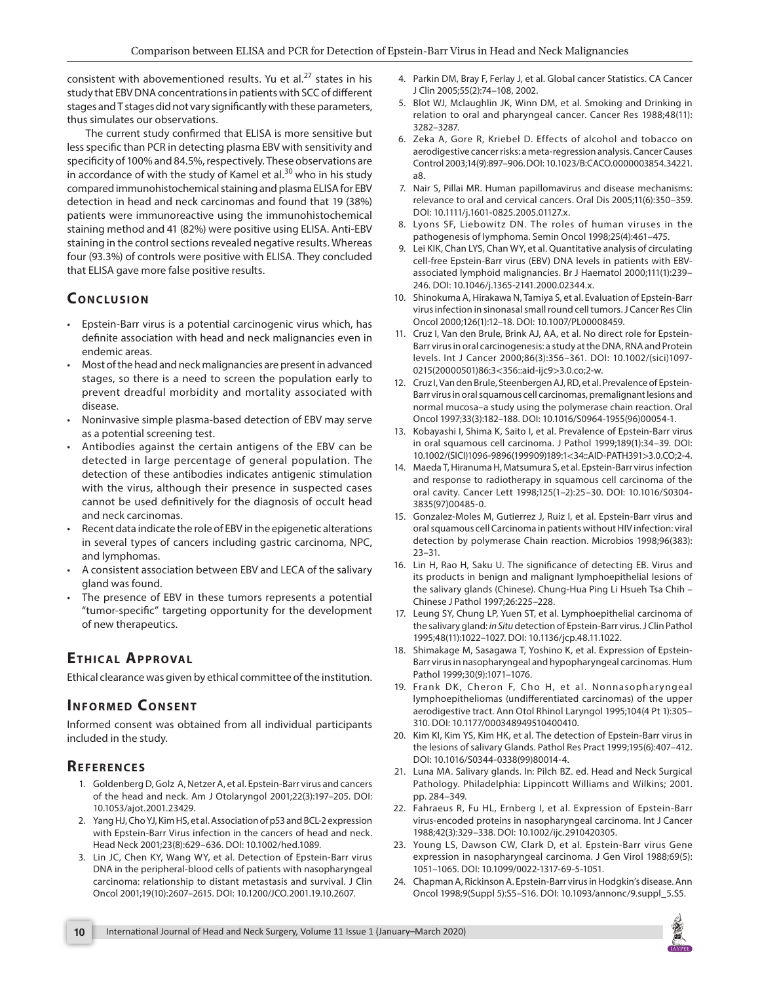consistent with abovementioned results. Yu et al. $^{27}$  states in his study that EBV DNA concentrations in patients with SCC of different stages and T stages did not vary significantly with these parameters, thus simulates our observations.

The current study confirmed that ELISA is more sensitive but less specific than PCR in detecting plasma EBV with sensitivity and specificity of 100% and 84.5%, respectively. These observations are in accordance of with the study of Kamel et al. $30$  who in his study compared immunohistochemical staining and plasma ELISA for EBV detection in head and neck carcinomas and found that 19 (38%) patients were immunoreactive using the immunohistochemical staining method and 41 (82%) were positive using ELISA. Anti-EBV staining in the control sections revealed negative results. Whereas four (93.3%) of controls were positive with ELISA. They concluded that ELISA gave more false positive results.

## **CONCLUSION**

- Epstein-Barr virus is a potential carcinogenic virus which, has definite association with head and neck malignancies even in endemic areas.
- Most of the head and neck malignancies are present in advanced stages, so there is a need to screen the population early to prevent dreadful morbidity and mortality associated with disease.
- Noninvasive simple plasma-based detection of EBV may serve as a potential screening test.
- Antibodies against the certain antigens of the EBV can be detected in large percentage of general population. The detection of these antibodies indicates antigenic stimulation with the virus, although their presence in suspected cases cannot be used definitively for the diagnosis of occult head and neck carcinomas.
- Recent data indicate the role of EBV in the epigenetic alterations in several types of cancers including gastric carcinoma, NPC, and lymphomas.
- A consistent association between EBV and LECA of the salivary gland was found.
- The presence of EBV in these tumors represents a potential "tumor-specific" targeting opportunity for the development of new therapeutics.

# **Et hical Ap p r oval**

Ethical clearance was given by ethical committee of the institution.

## **INFORMED CONSENT**

Informed consent was obtained from all individual participants included in the study.

## **Re f e r e n c e s**

- 1. Goldenberg D, Golz A, Netzer A, et al. Epstein-Barr virus and cancers of the head and neck. Am J Otolaryngol 2001;22(3):197–205. DOI: 10.1053/ajot.2001.23429.
- 2. Yang HJ, Cho YJ, Kim HS, et al. Association of p53 and BCL-2 expression with Epstein-Barr Virus infection in the cancers of head and neck. Head Neck 2001;23(8):629–636. DOI: 10.1002/hed.1089.
- 3. Lin JC, Chen KY, Wang WY, et al. Detection of Epstein-Barr virus DNA in the peripheral-blood cells of patients with nasopharyngeal carcinoma: relationship to distant metastasis and survival. J Clin Oncol 2001;19(10):2607–2615. DOI: 10.1200/JCO.2001.19.10.2607.
- 4. Parkin DM, Bray F, Ferlay J, et al. Global cancer Statistics. CA Cancer J Clin 2005;55(2):74–108, 2002.
- 5. Blot WJ, Mclaughlin JK, Winn DM, et al. Smoking and Drinking in relation to oral and pharyngeal cancer. Cancer Res 1988;48(11): 3282–3287.
- 6. Zeka A, Gore R, Kriebel D. Effects of alcohol and tobacco on aerodigestive cancer risks: a meta-regression analysis. Cancer Causes Control 2003;14(9):897–906. DOI: 10.1023/B:CACO.0000003854.34221. a8.
- 7. Nair S, Pillai MR. Human papillomavirus and disease mechanisms: relevance to oral and cervical cancers. Oral Dis 2005;11(6):350–359. DOI: 10.1111/j.1601-0825.2005.01127.x.
- 8. Lyons SF, Liebowitz DN. The roles of human viruses in the pathogenesis of lymphoma. Semin Oncol 1998;25(4):461–475.
- 9. Lei KIK, Chan LYS, Chan WY, et al. Quantitative analysis of circulating cell-free Epstein-Barr virus (EBV) DNA levels in patients with EBVassociated lymphoid malignancies. Br J Haematol 2000;111(1):239– 246. DOI: 10.1046/j.1365-2141.2000.02344.x.
- 10. Shinokuma A, Hirakawa N, Tamiya S, et al. Evaluation of Epstein-Barr virus infection in sinonasal small round cell tumors. J Cancer Res Clin Oncol 2000;126(1):12–18. DOI: 10.1007/PL00008459.
- 11. Cruz I, Van den Brule, Brink AJ, AA, et al. No direct role for Epstein-Barr virus in oral carcinogenesis: a study at the DNA, RNA and Protein levels. Int J Cancer 2000;86(3):356–361. DOI: 10.1002/(sici)1097- 0215(20000501)86:3<356::aid-ijc9>3.0.co;2-w.
- 12. Cruz I, Van den Brule, Steenbergen AJ, RD, et al. Prevalence of Epstein-Barr virus in oral squamous cell carcinomas, premalignant lesions and normal mucosa–a study using the polymerase chain reaction. Oral Oncol 1997;33(3):182–188. DOI: 10.1016/S0964-1955(96)00054-1.
- 13. Kobayashi I, Shima K, Saito I, et al. Prevalence of Epstein-Barr virus in oral squamous cell carcinoma. J Pathol 1999;189(1):34–39. DOI: 10.1002/(SICI)1096-9896(199909)189:1<34::AID-PATH391>3.0.CO;2-4.
- 14. Maeda T, Hiranuma H, Matsumura S, et al. Epstein-Barr virus infection and response to radiotherapy in squamous cell carcinoma of the oral cavity. Cancer Lett 1998;125(1–2):25–30. DOI: 10.1016/S0304- 3835(97)00485-0.
- 15. Gonzalez-Moles M, Gutierrez J, Ruiz I, et al. Epstein-Barr virus and oral squamous cell Carcinoma in patients without HIV infection: viral detection by polymerase Chain reaction. Microbios 1998;96(383): 23–31.
- 16. Lin H, Rao H, Saku U. The significance of detecting EB. Virus and its products in benign and malignant lymphoepithelial lesions of the salivary glands (Chinese). Chung-Hua Ping Li Hsueh Tsa Chih – Chinese J Pathol 1997;26:225–228.
- 17. Leung SY, Chung LP, Yuen ST, et al. Lymphoepithelial carcinoma of the salivary gland: *in Situ* detection of Epstein-Barr virus. J Clin Pathol 1995;48(11):1022–1027. DOI: 10.1136/jcp.48.11.1022.
- 18. Shimakage M, Sasagawa T, Yoshino K, et al. Expression of Epstein-Barr virus in nasopharyngeal and hypopharyngeal carcinomas. Hum Pathol 1999;30(9):1071–1076.
- 19. Frank DK, Cheron F, Cho H, et al. Nonnasopharyngeal lymphoepitheliomas (undifferentiated carcinomas) of the upper aerodigestive tract. Ann Otol Rhinol Laryngol 1995;104(4 Pt 1):305– 310. DOI: 10.1177/000348949510400410.
- 20. Kim KI, Kim YS, Kim HK, et al. The detection of Epstein-Barr virus in the lesions of salivary Glands. Pathol Res Pract 1999;195(6):407–412. DOI: 10.1016/S0344-0338(99)80014-4.
- 21. Luna MA. Salivary glands. In: Pilch BZ. ed. Head and Neck Surgical Pathology. Philadelphia: Lippincott Williams and Wilkins; 2001. pp. 284–349.
- 22. Fahraeus R, Fu HL, Ernberg I, et al. Expression of Epstein-Barr virus-encoded proteins in nasopharyngeal carcinoma. Int J Cancer 1988;42(3):329–338. DOI: 10.1002/ijc.2910420305.
- 23. Young LS, Dawson CW, Clark D, et al. Epstein-Barr virus Gene expression in nasopharyngeal carcinoma. J Gen Virol 1988;69(5): 1051–1065. DOI: 10.1099/0022-1317-69-5-1051.
- 24. Chapman A, Rickinson A. Epstein-Barr virus in Hodgkin's disease. Ann Oncol 1998;9(Suppl 5):S5–S16. DOI: 10.1093/annonc/9.suppl\_5.S5.